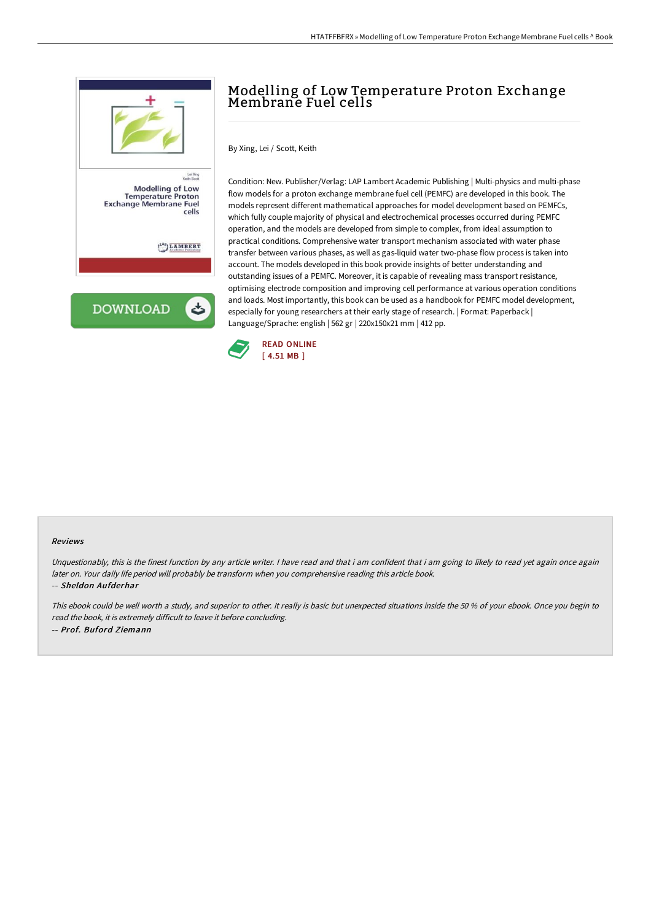

## Modelling of Low Temperature Proton Exchange Membrane Fuel cells

By Xing, Lei / Scott, Keith

Condition: New. Publisher/Verlag: LAP Lambert Academic Publishing | Multi-physics and multi-phase flow models for a proton exchange membrane fuel cell (PEMFC) are developed in this book. The models represent different mathematical approaches for model development based on PEMFCs, which fully couple majority of physical and electrochemical processes occurred during PEMFC operation, and the models are developed from simple to complex, from ideal assumption to practical conditions. Comprehensive water transport mechanism associated with water phase transfer between various phases, as well as gas-liquid water two-phase flow process is taken into account. The models developed in this book provide insights of better understanding and outstanding issues of a PEMFC. Moreover, it is capable of revealing mass transport resistance, optimising electrode composition and improving cell performance at various operation conditions and loads. Most importantly, this book can be used as a handbook for PEMFC model development, especially for young researchers at their early stage of research. | Format: Paperback | Language/Sprache: english | 562 gr | 220x150x21 mm | 412 pp.



#### Reviews

Unquestionably, this is the finest function by any article writer. I have read and that i am confident that i am going to likely to read yet again once again later on. Your daily life period will probably be transform when you comprehensive reading this article book. -- Sheldon Aufderhar

This ebook could be well worth <sup>a</sup> study, and superior to other. It really is basic but unexpected situations inside the <sup>50</sup> % of your ebook. Once you begin to read the book, it is extremely difficult to leave it before concluding. -- Prof. Buford Ziemann